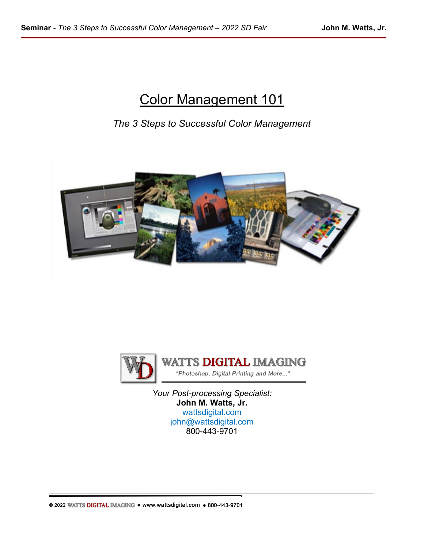# Color Management 101

*The 3 Steps to Successful Color Management*





**WATTS DIGITAL IMAGING** "Photoshop, Digital Printing and More..."

*Your Post-processing Specialist:* **John M. Watts, Jr.** [wattsdigital.com](https://wattsdigital.com/) [john@wattsdigital.com](mailto:john@wattsdigital.com) 800-443-9701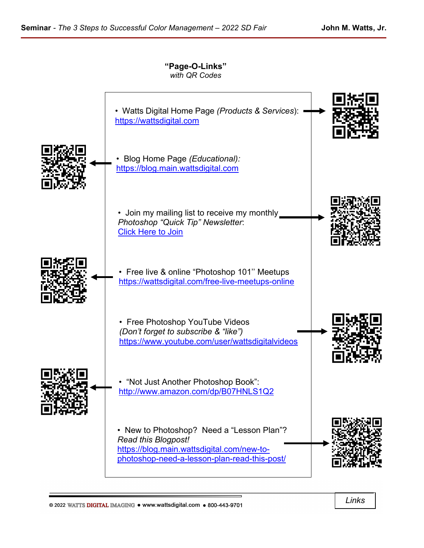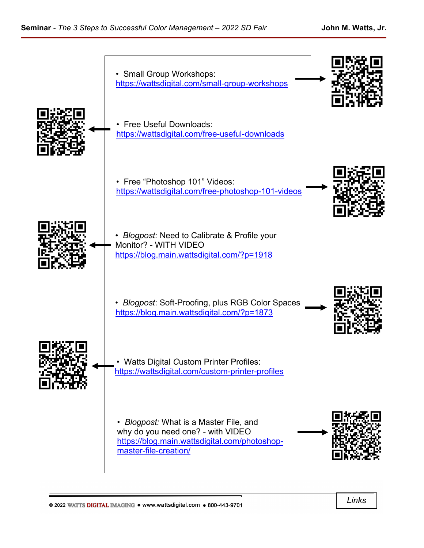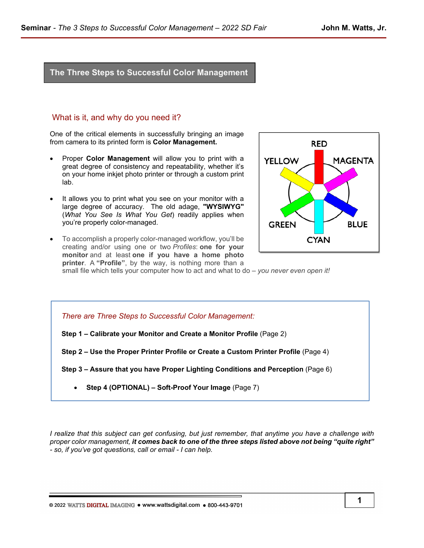# **The Three Steps to Successful Color Management**

## What is it, and why do you need it?

One of the critical elements in successfully bringing an image from camera to its printed form is **Color Management.** 

- Proper **Color Management** will allow you to print with a great degree of consistency and repeatability, whether it's on your home inkjet photo printer or through a custom print lab.
- It allows you to print what you see on your monitor with a large degree of accuracy. The old adage, **"WYSIWYG"** (*What You See Is What You Get*) readily applies when you're properly color-managed.
- To accomplish a properly color-managed workflow, you'll be creating and/or using one or two *Profiles*: **one for your monitor** and at least **one if you have a home photo printer**. A **"Profile"**, by the way, is nothing more than a



small file which tells your computer how to act and what to do – *you never even open it!*

*There are Three Steps to Successful Color Management:*

**Step 1 – Calibrate your Monitor and Create a Monitor Profile** (Page 2)

**Step 2 – Use the Proper Printer Profile or Create a Custom Printer Profile** (Page 4)

**Step 3 – Assure that you have Proper Lighting Conditions and Perception** (Page 6)

• **Step 4 (OPTIONAL) – Soft-Proof Your Image** (Page 7)

*I realize that this subject can get confusing, but just remember, that anytime you have a challenge with proper color management, it comes back to one of the three steps listed above not being "quite right" - so, if you've got questions, call or email - I can help.*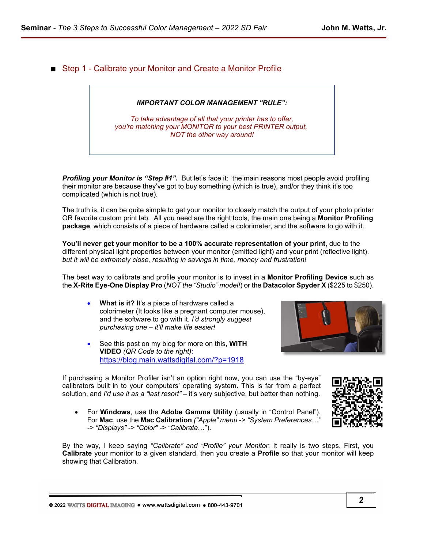■ Step 1 - Calibrate your Monitor and Create a Monitor Profile

# *IMPORTANT COLOR MANAGEMENT "RULE":*

*To take advantage of all that your printer has to offer, you're matching your MONITOR to your best PRINTER output, NOT the other way around!*

**Profiling your Monitor is "Step #1".** But let's face it: the main reasons most people avoid profiling their monitor are because they've got to buy something (which is true), and/or they think it's too complicated (which is not true).

The truth is, it can be quite simple to get your monitor to closely match the output of your photo printer OR favorite custom print lab*.* All you need are the right tools, the main one being a **Monitor Profiling package***,* which consists of a piece of hardware called a colorimeter, and the software to go with it.

**You'll never get your monitor to be a 100% accurate representation of your print**, due to the different physical light properties between your monitor (emitted light) and your print (reflective light). *but it will be extremely close, resulting in savings in time, money and frustration!*

The best way to calibrate and profile your monitor is to invest in a **Monitor Profiling Device** such as the **X-Rite Eye-One Display Pro** (*NOT the "Studio" model!*) or the **Datacolor Spyder X** (\$225 to \$250).

- **What is it?** It's a piece of hardware called a colorimeter (It looks like a pregnant computer mouse), and the software to go with it. *I'd strongly suggest purchasing one – it'll make life easier!*
- See this post on my blog for more on this, **WITH VIDEO** *(QR Code to the right)*: <https://blog.main.wattsdigital.com/?p=1918>

If purchasing a Monitor Profiler isn't an option right now, you can use the "by-eye" calibrators built in to your computers' operating system. This is far from a perfect solution, and *I'd use it as a "last resort"* – it's very subjective, but better than nothing.

• For **Windows**, use the **Adobe Gamma Utility** (usually in "Control Panel"). For **Mac**, use the **Mac Calibration** *("Apple" menu -> "System Preferences…" -> "Displays" -> "Color" -> "Calibrate*…").

By the way, I keep saying *"Calibrate" and "Profile" your Monitor*: It really is two steps. First, you **Calibrate** your monitor to a given standard, then you create a **Profile** so that your monitor will keep showing that Calibration.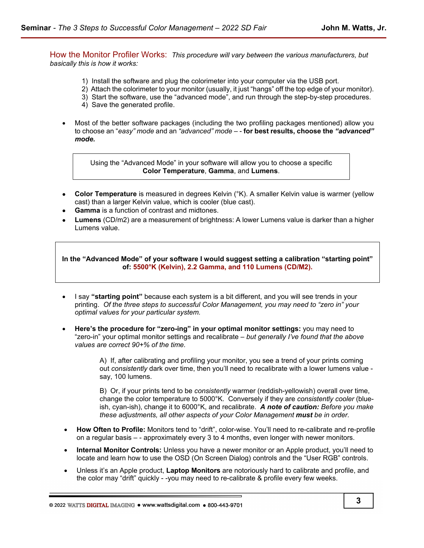How the Monitor Profiler Works:*This procedure will vary between the various manufacturers, but basically this is how it works:*

- 1) Install the software and plug the colorimeter into your computer via the USB port.
- 2) Attach the colorimeter to your monitor (usually, it just "hangs" off the top edge of your monitor).
- 3) Start the software, use the "advanced mode", and run through the step-by-step procedures.
- 4) Save the generated profile.
- Most of the better software packages (including the two profiling packages mentioned) allow you to choose an "*easy" mode* and an *"advanced" mode* – - **for best results, choose the** *"advanced" mode.*

Using the "Advanced Mode" in your software will allow you to choose a specific **Color Temperature**, **Gamma**, and **Lumens**.

- **Color Temperature** is measured in degrees Kelvin (°K). A smaller Kelvin value is warmer (yellow cast) than a larger Kelvin value, which is cooler (blue cast).
- **Gamma** is a function of contrast and midtones.
- • **Lumens** (CD/m2) are a measurement of brightness: A lower Lumens value is darker than a higher Lumens value.

**In the "Advanced Mode" of your software I would suggest setting a calibration "starting point" of: 5500°K (Kelvin), 2.2 Gamma, and 110 Lumens (CD/M2).**

- I say **"starting point"** because each system is a bit different, and you will see trends in your printing. *Of the three steps to successful Color Management, you may need to "zero in" your optimal values for your particular system.*
- **Here's the procedure for "zero-ing" in your optimal monitor settings:** you may need to "zero-in" your optimal monitor settings and recalibrate – *but generally I've found that the above values are correct 90+% of the time.*

A) If, after calibrating and profiling your monitor, you see a trend of your prints coming out *consistently* dark over time, then you'll need to recalibrate with a lower lumens value say, 100 lumens.

B) Or, if your prints tend to be *consistently* warmer (reddish-yellowish) overall over time, change the color temperature to 5000°K. Conversely if they are *consistently cooler* (blueish, cyan-ish), change it to 6000°K, and recalibrate. *A note of caution: Before you make these adjustments, all other aspects of your Color Management must be in order.*

- **How Often to Profile:** Monitors tend to "drift", color-wise. You'll need to re-calibrate and re-profile on a regular basis – - approximately every 3 to 4 months, even longer with newer monitors.
- **Internal Monitor Controls:** Unless you have a newer monitor or an Apple product, you'll need to locate and learn how to use the OSD (On Screen Dialog) controls and the "User RGB" controls.
- Unless it's an Apple product, **Laptop Monitors** are notoriously hard to calibrate and profile, and the color may "drift" quickly - -you may need to re-calibrate & profile every few weeks.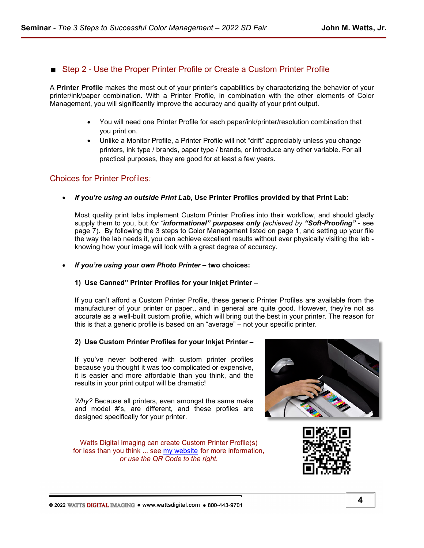# Step 2 - Use the Proper Printer Profile or Create a Custom Printer Profile

A **Printer Profile** makes the most out of your printer's capabilities by characterizing the behavior of your printer/ink/paper combination. With a Printer Profile, in combination with the other elements of Color Management, you will significantly improve the accuracy and quality of your print output.

- You will need one Printer Profile for each paper/ink/printer/resolution combination that you print on.
- Unlike a Monitor Profile, a Printer Profile will not "drift" appreciably unless you change printers, ink type / brands, paper type / brands, or introduce any other variable. For all practical purposes, they are good for at least a few years.

# Choices for Printer Profiles*:*

• *If you're using an outside Print Lab***, Use Printer Profiles provided by that Print Lab:**

Most quality print labs implement Custom Printer Profiles into their workflow, and should gladly supply them to you, but *for "informational" purposes only (achieved by "Soft-Proofing"* - see page 7). By following the 3 steps to Color Management listed on page 1, and setting up your file the way the lab needs it, you can achieve excellent results without ever physically visiting the lab knowing how your image will look with a great degree of accuracy.

• *If you're using your own Photo Printer* **– two choices:**

## **1) Use Canned" Printer Profiles for your Inkjet Printer –**

If you can't afford a Custom Printer Profile, these generic Printer Profiles are available from the manufacturer of your printer or paper., and in general are quite good. However, they're not as accurate as a well-built custom profile, which will bring out the best in your printer. The reason for this is that a generic profile is based on an "average" – not your specific printer.

## **2) Use Custom Printer Profiles for your Inkjet Printer –**

If you've never bothered with custom printer profiles because you thought it was too complicated or expensive, it is easier and more affordable than you think, and the results in your print output will be dramatic!

*Why?* Because all printers, even amongst the same make and model #'s, are different, and these profiles are designed specifically for your printer.

Watts Digital Imaging can create Custom Printer Profile(s) for less than you think ... see [my website](https://wattsdigital.com/custom-printer-profiles) for more information, *or use the QR Code to the right.*



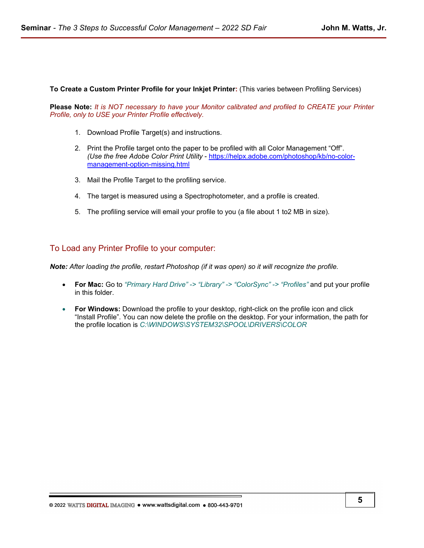**To Create a Custom Printer Profile for your Inkjet Printer:** (This varies between Profiling Services)

**Please Note:** *It is NOT necessary to have your Monitor calibrated and profiled to CREATE your Printer Profile, only to USE your Printer Profile effectively.*

- 1. Download Profile Target(s) and instructions.
- 2. Print the Profile target onto the paper to be profiled with all Color Management "Off". *(Use the free Adobe Color Print Utility* - [https://helpx.adobe.com/photoshop/kb/no-color](https://helpx.adobe.com/photoshop/kb/no-color-management-option-missing.html)[management-option-missing.html](https://helpx.adobe.com/photoshop/kb/no-color-management-option-missing.html)
- 3. Mail the Profile Target to the profiling service.
- 4. The target is measured using a Spectrophotometer, and a profile is created.
- 5. The profiling service will email your profile to you (a file about 1 to2 MB in size).

## To Load any Printer Profile to your computer:

*Note: After loading the profile, restart Photoshop (if it was open) so it will recognize the profile.*

- **For Mac:** Go to *"Primary Hard Drive" -> "Library" -> "ColorSync" -> "Profiles"* and put your profile in this folder.
- **For Windows:** Download the profile to your desktop, right-click on the profile icon and click "Install Profile". You can now delete the profile on the desktop. For your information, the path for the profile location is *C:\WINDOWS\SYSTEM32\SPOOL\DRIVERS\COLOR*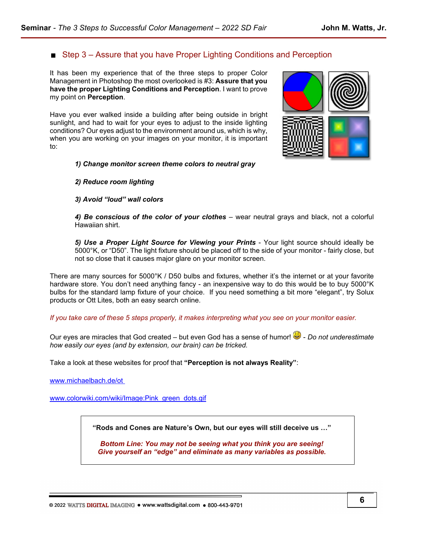# $\blacksquare$  Step 3 – Assure that you have Proper Lighting Conditions and Perception

It has been my experience that of the three steps to proper Color Management in Photoshop the most overlooked is #3: **Assure that you have the proper Lighting Conditions and Perception**. I want to prove my point on **Perception**.

Have you ever walked inside a building after being outside in bright sunlight, and had to wait for your eyes to adjust to the inside lighting conditions? Our eyes adjust to the environment around us, which is why, when you are working on your images on your monitor, it is important to:

#### *1) Change monitor screen theme colors to neutral gray*

#### *2) Reduce room lighting*

#### *3) Avoid "loud" wall colors*

*4) Be conscious of the color of your clothes* – wear neutral grays and black, not a colorful Hawaiian shirt.

*5) Use a Proper Light Source for Viewing your Prints* - Your light source should ideally be 5000°K, or "D50". The light fixture should be placed off to the side of your monitor - fairly close, but not so close that it causes major glare on your monitor screen.

There are many sources for 5000°K / D50 bulbs and fixtures, whether it's the internet or at your favorite hardware store. You don't need anything fancy - an inexpensive way to do this would be to buy 5000°K bulbs for the standard lamp fixture of your choice. If you need something a bit more "elegant", try Solux products or Ott Lites, both an easy search online.

*If you take care of these 5 steps properly, it makes interpreting what you see on your monitor easier.*

Our eyes are miracles that God created – but even God has a sense of humor!  $\ddot{\bullet}$  - *Do not underestimate how easily our eyes (and by extension, our brain) can be tricked.*

Take a look at these websites for proof that **"Perception is not always Reality"**:

[www.michaelbach.de/ot](http://www.michaelbach.de/ot) 

[www.colorwiki.com/wiki/Image:Pink\\_green\\_dots.gif](http://www.colorwiki.com/wiki/Image:Pink_green_dots.gif)

**"Rods and Cones are Nature's Own, but our eyes will still deceive us …"**

*Bottom Line: You may not be seeing what you think you are seeing! Give yourself an "edge" and eliminate as many variables as possible.*

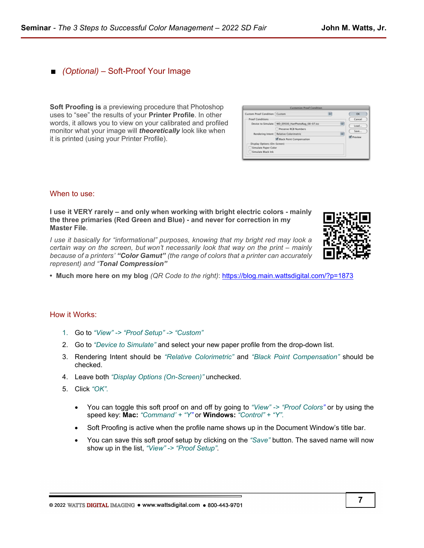# ■ *(Optional)* – Soft-Proof Your Image

**Soft Proofing is** a previewing procedure that Photoshop uses to "see" the results of your **Printer Profile**. In other words, it allows you to view on your calibrated and profiled monitor what your image will *theoretically* look like when it is printed (using your Printer Profile).

| Custom Proof Condition: Custom |                                                    | ı÷ |   | OK                               |
|--------------------------------|----------------------------------------------------|----|---|----------------------------------|
| <b>Proof Conditions</b>        |                                                    |    |   | Cancel                           |
|                                | Device to Simulate: WD_E9500_HanPhotoRag_08-07.icc |    | ы | Load<br>Save<br><b>V</b> Preview |
|                                | Preserve RCB Numbers                               |    |   |                                  |
|                                | Rendering Intent: Relative Colorimetric            |    | 両 |                                  |
|                                | M Black Point Compensation                         |    |   |                                  |
| Display Options (On-Screen)    |                                                    |    |   |                                  |
| Simulate Paper Color           |                                                    |    |   |                                  |
| Simulate Black Ink             |                                                    |    |   |                                  |

#### When to use:

**I use it VERY rarely – and only when working with bright electric colors - mainly the three primaries (Red Green and Blue) - and never for correction in my Master File***.* 

*I use it basically for "informational" purposes, knowing that my bright red may look a certain way on the screen, but won't necessarily look that way on the print – mainly because of a printers' "Color Gamut" (the range of colors that a printer can accurately represent) and "Tonal Compression"*



**• Much more here on my blog** *(QR Code to the right)*:<https://blog.main.wattsdigital.com/?p=1873>

#### How it Works:

- 1. Go to *"View" -> "Proof Setup" -> "Custom"*
- 2. Go to *"Device to Simulate"* and select your new paper profile from the drop-down list.
- 3. Rendering Intent should be *"Relative Colorimetric"* and *"Black Point Compensation"* should be checked.
- 4. Leave both *"Display Options (On-Screen)"* unchecked.
- 5. Click *"OK"*.
	- You can toggle this soft proof on and off by going to *"View" -> "Proof Colors"* or by using the speed key: **Mac:** *"Command' + "Y"* or **Windows:** *"Control" + "Y"*.
	- Soft Proofing is active when the profile name shows up in the Document Window's title bar.
	- You can save this soft proof setup by clicking on the *"Save"* button. The saved name will now show up in the list, *"View" -> "Proof Setup"*.